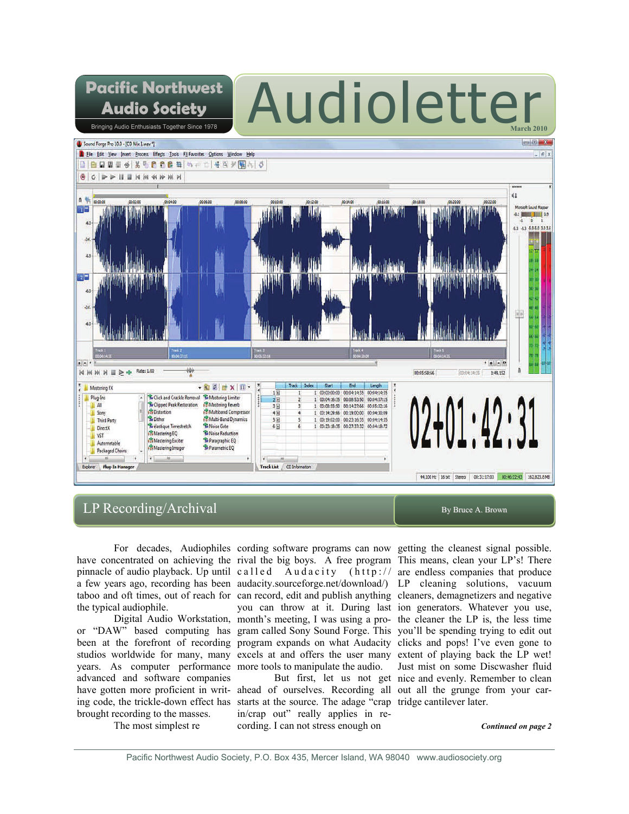# Audioletter **March 2010**



# LP Recording/Archival By Bruce A. Brown

**Pacific Northwest** 

**Audio Society** Bringing Audio Enthusiasts Together Since 1978

the typical audiophile.

years. As computer performance more tools to manipulate the audio. advanced and software companies brought recording to the masses.

The most simplest re

For decades, Audiophiles cording software programs can now getting the cleanest signal possible. have concentrated on achieving the rival the big boys. A free program This means, clean your LP's! There pinnacle of audio playback. Up until called Audacity (http:// are endless companies that produce a few years ago, recording has been audacity.sourceforge.net/download/) LP cleaning solutions, vacuum taboo and oft times, out of reach for can record, edit and publish anything cleaners, demagnetizers and negative Digital Audio Workstation, month's meeting, I was using a pro-the cleaner the LP is, the less time or "DAW" based computing has gram called Sony Sound Forge. This you'll be spending trying to edit out been at the forefront of recording program expands on what Audacity clicks and pops! I've even gone to studios worldwide for many, many excels at and offers the user many extent of playing back the LP wet! you can throw at it. During last ion generators. Whatever you use,

have gotten more proficient in writ- ahead of ourselves. Recording all out all the grunge from your caring code, the trickle-down effect has starts at the source. The adage "crap tridge cantilever later. in/crap out" really applies in recording. I can not stress enough on

 But first, let us not get nice and evenly. Remember to clean Just mist on some Discwasher fluid

*Continued on page 2*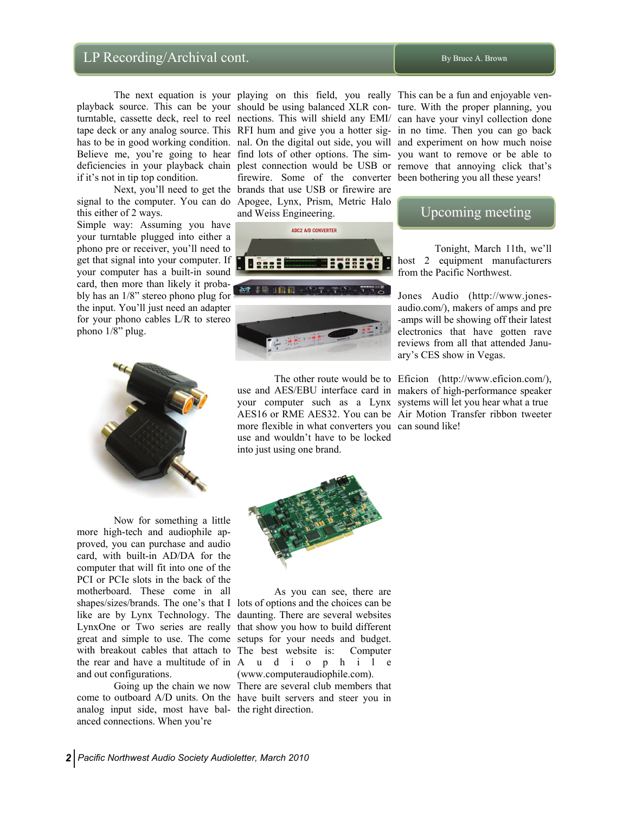# LP Recording/Archival cont.  $\blacksquare$

if it's not in tip top condition.

this either of 2 ways.

Simple way: Assuming you have your turntable plugged into either a phono pre or receiver, you'll need to get that signal into your computer. If your computer has a built-in sound card, then more than likely it probably has an 1/8" stereo phono plug for the input. You'll just need an adapter for your phono cables L/R to stereo phono 1/8" plug.



 Now for something a little more high-tech and audiophile approved, you can purchase and audio card, with built-in AD/DA for the computer that will fit into one of the PCI or PCIe slots in the back of the motherboard. These come in all shapes/sizes/brands. The one's that I lots of options and the choices can be like are by Lynx Technology. The daunting. There are several websites LynxOne or Two series are really that show you how to build different great and simple to use. The come setups for your needs and budget. with breakout cables that attach to The best website is: Computer the rear and have a multitude of in A u d i o p h i l e and out configurations.

analog input side, most have bal-the right direction. anced connections. When you're

 The next equation is your playing on this field, you really This can be a fun and enjoyable venplayback source. This can be your should be using balanced XLR con-ture. With the proper planning, you turntable, cassette deck, reel to reel nections. This will shield any EMI/ can have your vinyl collection done tape deck or any analog source. This RFI hum and give you a hotter sig-in no time. Then you can go back has to be in good working condition. nal. On the digital out side, you will and experiment on how much noise Believe me, you're going to hear find lots of other options. The sim-you want to remove or be able to deficiencies in your playback chain plest connection would be USB or remove that annoying click that's Next, you'll need to get the brands that use USB or firewire are signal to the computer. You can do Apogee, Lynx, Prism, Metric Halo firewire. Some of the converter been bothering you all these years! and Weiss Engineering.



 The other route would be to Eficion (http://www.eficion.com/), use and AES/EBU interface card in makers of high-performance speaker your computer such as a Lynx systems will let you hear what a true AES16 or RME AES32. You can be Air Motion Transfer ribbon tweeter more flexible in what converters you can sound like! use and wouldn't have to be locked into just using one brand.

# Upcoming meeting

 Tonight, March 11th, we'll host 2 equipment manufacturers from the Pacific Northwest.

Jones Audio (http://www.jonesaudio.com/), makers of amps and pre -amps will be showing off their latest electronics that have gotten rave reviews from all that attended January's CES show in Vegas.



 As you can see, there are (www.computeraudiophile.com).

 Going up the chain we now There are several club members that come to outboard A/D units. On the have built servers and steer you in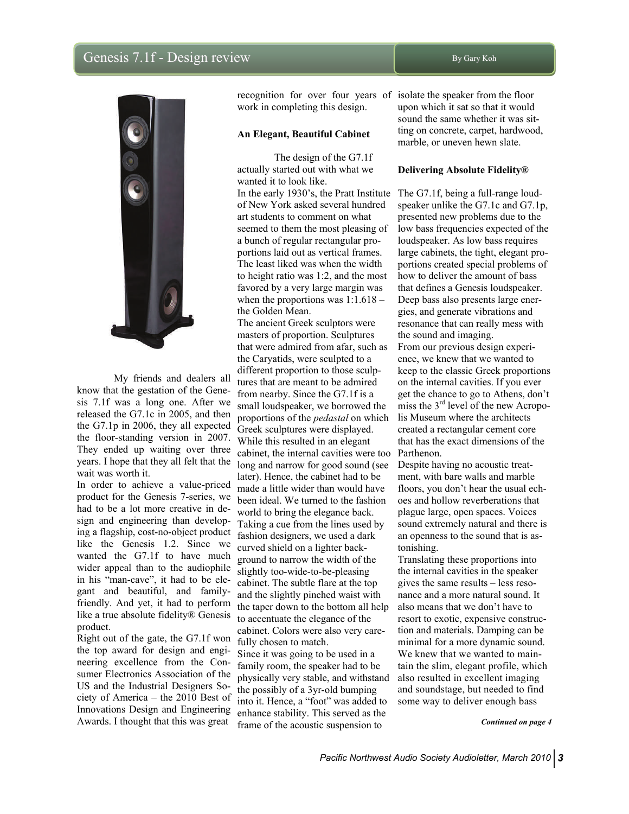# Genesis 7.1f - Design review By Gary Koh



 My friends and dealers all know that the gestation of the Genesis 7.1f was a long one. After we released the G7.1c in 2005, and then the G7.1p in 2006, they all expected the floor-standing version in 2007. They ended up waiting over three years. I hope that they all felt that the wait was worth it.

In order to achieve a value-priced product for the Genesis 7-series, we had to be a lot more creative in design and engineering than developing a flagship, cost-no-object product like the Genesis 1.2. Since we wanted the G7.1f to have much wider appeal than to the audiophile in his "man-cave", it had to be elegant and beautiful, and familyfriendly. And yet, it had to perform like a true absolute fidelity® Genesis product.

Right out of the gate, the G7.1f won the top award for design and engineering excellence from the Consumer Electronics Association of the US and the Industrial Designers Society of America – the 2010 Best of Innovations Design and Engineering Awards. I thought that this was great

work in completing this design.

#### **An Elegant, Beautiful Cabinet**

The design of the G7.1f actually started out with what we wanted it to look like. In the early 1930's, the Pratt Institute The G7.1f, being a full-range loudof New York asked several hundred art students to comment on what seemed to them the most pleasing of a bunch of regular rectangular proportions laid out as vertical frames. The least liked was when the width to height ratio was 1:2, and the most favored by a very large margin was when the proportions was  $1:1.618$  – the Golden Mean.

The ancient Greek sculptors were masters of proportion. Sculptures that were admired from afar, such as the Caryatids, were sculpted to a different proportion to those sculptures that are meant to be admired from nearby. Since the G7.1f is a small loudspeaker, we borrowed the proportions of the *pedastal* on which Greek sculptures were displayed. While this resulted in an elegant cabinet, the internal cavities were too Parthenon. long and narrow for good sound (see later). Hence, the cabinet had to be made a little wider than would have been ideal. We turned to the fashion world to bring the elegance back. Taking a cue from the lines used by fashion designers, we used a dark curved shield on a lighter background to narrow the width of the slightly too-wide-to-be-pleasing cabinet. The subtle flare at the top and the slightly pinched waist with the taper down to the bottom all help to accentuate the elegance of the cabinet. Colors were also very carefully chosen to match. Since it was going to be used in a family room, the speaker had to be physically very stable, and withstand the possibly of a 3yr-old bumping into it. Hence, a "foot" was added to

enhance stability. This served as the frame of the acoustic suspension to

recognition for over four years of isolate the speaker from the floor upon which it sat so that it would sound the same whether it was sitting on concrete, carpet, hardwood, marble, or uneven hewn slate.

#### **Delivering Absolute Fidelity®**

speaker unlike the G7.1c and G7.1p, presented new problems due to the low bass frequencies expected of the loudspeaker. As low bass requires large cabinets, the tight, elegant proportions created special problems of how to deliver the amount of bass that defines a Genesis loudspeaker. Deep bass also presents large energies, and generate vibrations and resonance that can really mess with the sound and imaging. From our previous design experience, we knew that we wanted to keep to the classic Greek proportions on the internal cavities. If you ever get the chance to go to Athens, don't miss the 3rd level of the new Acropolis Museum where the architects created a rectangular cement core that has the exact dimensions of the

Despite having no acoustic treatment, with bare walls and marble floors, you don't hear the usual echoes and hollow reverberations that plague large, open spaces. Voices sound extremely natural and there is an openness to the sound that is astonishing.

Translating these proportions into the internal cavities in the speaker gives the same results – less resonance and a more natural sound. It also means that we don't have to resort to exotic, expensive construction and materials. Damping can be minimal for a more dynamic sound. We knew that we wanted to maintain the slim, elegant profile, which also resulted in excellent imaging and soundstage, but needed to find some way to deliver enough bass

*Continued on page 4*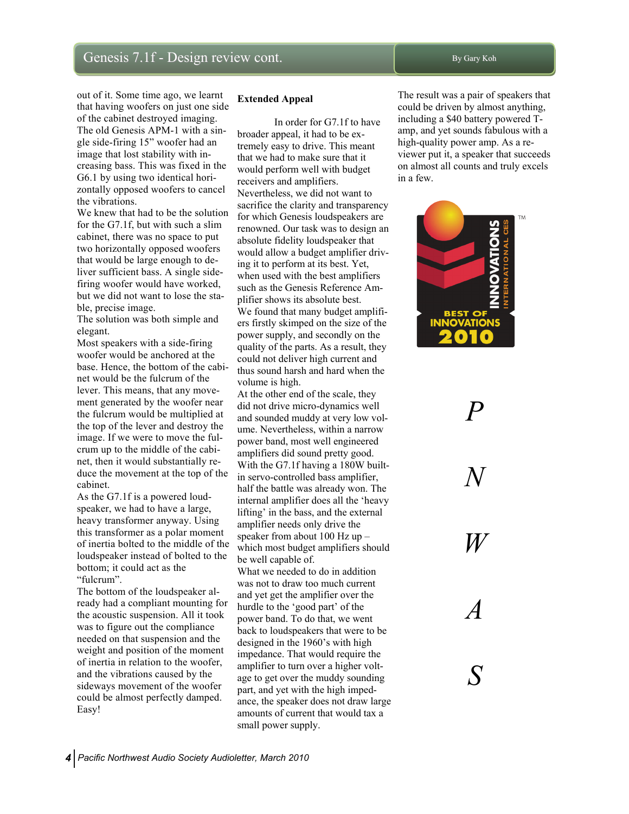out of it. Some time ago, we learnt that having woofers on just one side of the cabinet destroyed imaging. The old Genesis APM-1 with a single side-firing 15" woofer had an image that lost stability with increasing bass. This was fixed in the G6.1 by using two identical horizontally opposed woofers to cancel the vibrations.

We knew that had to be the solution for the G7.1f, but with such a slim cabinet, there was no space to put two horizontally opposed woofers that would be large enough to deliver sufficient bass. A single sidefiring woofer would have worked, but we did not want to lose the stable, precise image.

The solution was both simple and elegant.

Most speakers with a side-firing woofer would be anchored at the base. Hence, the bottom of the cabinet would be the fulcrum of the lever. This means, that any movement generated by the woofer near the fulcrum would be multiplied at the top of the lever and destroy the image. If we were to move the fulcrum up to the middle of the cabinet, then it would substantially reduce the movement at the top of the cabinet.

As the G7.1f is a powered loudspeaker, we had to have a large, heavy transformer anyway. Using this transformer as a polar moment of inertia bolted to the middle of the loudspeaker instead of bolted to the bottom; it could act as the "fulcrum".

The bottom of the loudspeaker already had a compliant mounting for the acoustic suspension. All it took was to figure out the compliance needed on that suspension and the weight and position of the moment of inertia in relation to the woofer, and the vibrations caused by the sideways movement of the woofer could be almost perfectly damped. Easy!

#### **Extended Appeal**

In order for G7.1f to have broader appeal, it had to be extremely easy to drive. This meant that we had to make sure that it would perform well with budget receivers and amplifiers. Nevertheless, we did not want to sacrifice the clarity and transparency for which Genesis loudspeakers are renowned. Our task was to design an absolute fidelity loudspeaker that would allow a budget amplifier driving it to perform at its best. Yet, when used with the best amplifiers such as the Genesis Reference Amplifier shows its absolute best. We found that many budget amplifiers firstly skimped on the size of the power supply, and secondly on the quality of the parts. As a result, they could not deliver high current and thus sound harsh and hard when the volume is high.

At the other end of the scale, they did not drive micro-dynamics well and sounded muddy at very low volume. Nevertheless, within a narrow power band, most well engineered amplifiers did sound pretty good. With the G7.1f having a 180W builtin servo-controlled bass amplifier, half the battle was already won. The internal amplifier does all the 'heavy lifting' in the bass, and the external amplifier needs only drive the speaker from about 100 Hz up – which most budget amplifiers should be well capable of.

What we needed to do in addition was not to draw too much current and yet get the amplifier over the hurdle to the 'good part' of the power band. To do that, we went back to loudspeakers that were to be designed in the 1960's with high impedance. That would require the amplifier to turn over a higher voltage to get over the muddy sounding part, and yet with the high impedance, the speaker does not draw large amounts of current that would tax a small power supply.

The result was a pair of speakers that could be driven by almost anything, including a \$40 battery powered Tamp, and yet sounds fabulous with a high-quality power amp. As a reviewer put it, a speaker that succeeds on almost all counts and truly excels in a few.



*P* 

*N* 

*W* 

*A* 

*S*